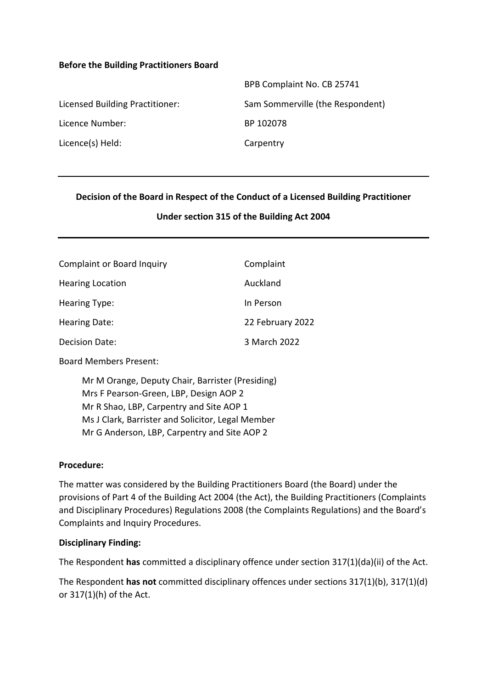#### **Before the Building Practitioners Board**

|                                 | BPB Complaint No. CB 25741       |
|---------------------------------|----------------------------------|
| Licensed Building Practitioner: | Sam Sommerville (the Respondent) |
| Licence Number:                 | BP 102078                        |
| Licence(s) Held:                | Carpentry                        |

#### **Decision of the Board in Respect of the Conduct of a Licensed Building Practitioner**

#### **Under section 315 of the Building Act 2004**

| <b>Complaint or Board Inquiry</b> | Complaint        |
|-----------------------------------|------------------|
| <b>Hearing Location</b>           | Auckland         |
| Hearing Type:                     | In Person        |
| Hearing Date:                     | 22 February 2022 |
| <b>Decision Date:</b>             | 3 March 2022     |

Board Members Present:

Mr M Orange, Deputy Chair, Barrister (Presiding) Mrs F Pearson-Green, LBP, Design AOP 2 Mr R Shao, LBP, Carpentry and Site AOP 1 Ms J Clark, Barrister and Solicitor, Legal Member Mr G Anderson, LBP, Carpentry and Site AOP 2

#### **Procedure:**

The matter was considered by the Building Practitioners Board (the Board) under the provisions of Part 4 of the Building Act 2004 (the Act), the Building Practitioners (Complaints and Disciplinary Procedures) Regulations 2008 (the Complaints Regulations) and the Board's Complaints and Inquiry Procedures.

#### **Disciplinary Finding:**

The Respondent **has** committed a disciplinary offence under section 317(1)(da)(ii) of the Act.

The Respondent **has not** committed disciplinary offences under sections 317(1)(b), 317(1)(d) or 317(1)(h) of the Act.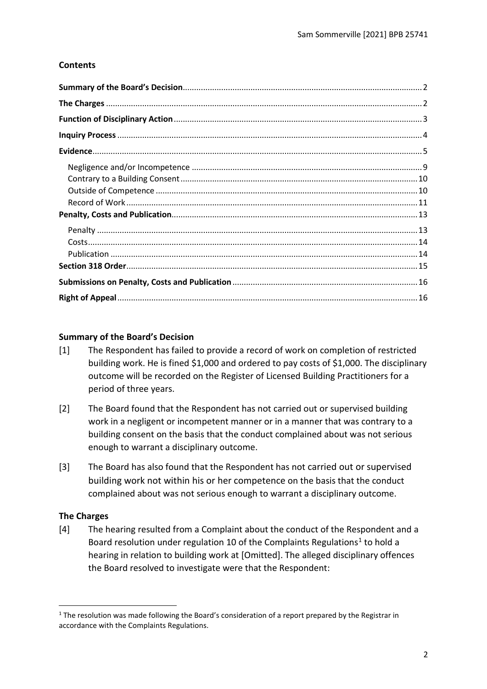# **Contents**

# <span id="page-1-0"></span>**Summary of the Board's Decision**

- [1] The Respondent has failed to provide a record of work on completion of restricted building work. He is fined \$1,000 and ordered to pay costs of \$1,000. The disciplinary outcome will be recorded on the Register of Licensed Building Practitioners for a period of three years.
- [2] The Board found that the Respondent has not carried out or supervised building work in a negligent or incompetent manner or in a manner that was contrary to a building consent on the basis that the conduct complained about was not serious enough to warrant a disciplinary outcome.
- [3] The Board has also found that the Respondent has not carried out or supervised building work not within his or her competence on the basis that the conduct complained about was not serious enough to warrant a disciplinary outcome.

# <span id="page-1-1"></span>**The Charges**

[4] The hearing resulted from a Complaint about the conduct of the Respondent and a Board resolution under regulation 10 of the Complaints Regulations<sup>1</sup> to hold a hearing in relation to building work at [Omitted]. The alleged disciplinary offences the Board resolved to investigate were that the Respondent:

<span id="page-1-2"></span><sup>&</sup>lt;sup>1</sup> The resolution was made following the Board's consideration of a report prepared by the Registrar in accordance with the Complaints Regulations.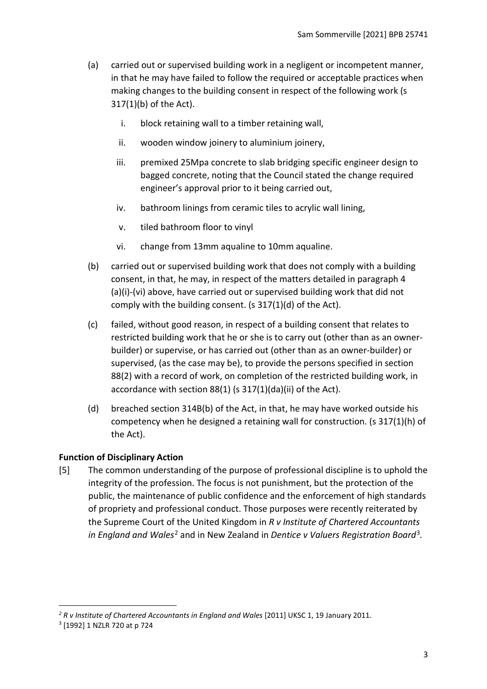- (a) carried out or supervised building work in a negligent or incompetent manner, in that he may have failed to follow the required or acceptable practices when making changes to the building consent in respect of the following work (s 317(1)(b) of the Act).
	- i. block retaining wall to a timber retaining wall,
	- ii. wooden window joinery to aluminium joinery,
	- iii. premixed 25Mpa concrete to slab bridging specific engineer design to bagged concrete, noting that the Council stated the change required engineer's approval prior to it being carried out,
	- iv. bathroom linings from ceramic tiles to acrylic wall lining,
	- v. tiled bathroom floor to vinyl
	- vi. change from 13mm aqualine to 10mm aqualine.
- (b) carried out or supervised building work that does not comply with a building consent, in that, he may, in respect of the matters detailed in paragraph 4 (a)(i)-(vi) above, have carried out or supervised building work that did not comply with the building consent. (s 317(1)(d) of the Act).
- (c) failed, without good reason, in respect of a building consent that relates to restricted building work that he or she is to carry out (other than as an ownerbuilder) or supervise, or has carried out (other than as an owner-builder) or supervised, (as the case may be), to provide the persons specified in section 88(2) with a record of work, on completion of the restricted building work, in accordance with section 88(1) (s 317(1)(da)(ii) of the Act).
- (d) breached section 314B(b) of the Act, in that, he may have worked outside his competency when he designed a retaining wall for construction. (s 317(1)(h) of the Act).

#### <span id="page-2-0"></span>**Function of Disciplinary Action**

[5] The common understanding of the purpose of professional discipline is to uphold the integrity of the profession. The focus is not punishment, but the protection of the public, the maintenance of public confidence and the enforcement of high standards of propriety and professional conduct. Those purposes were recently reiterated by the Supreme Court of the United Kingdom in *R v Institute of Chartered Accountants in England and Wales*[2](#page-2-1) and in New Zealand in *Dentice v Valuers Registration Board*[3](#page-2-2)*.*

<span id="page-2-1"></span>*<sup>2</sup> R v Institute of Chartered Accountants in England and Wales* [2011] UKSC 1, 19 January 2011.

<span id="page-2-2"></span><sup>3</sup> [1992] 1 NZLR 720 at p 724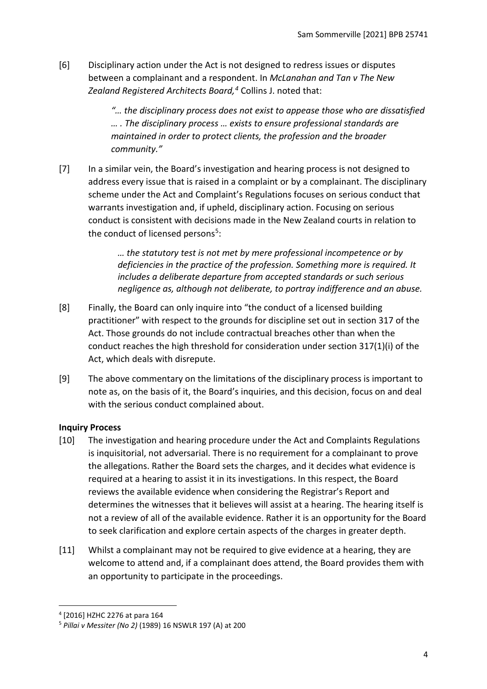[6] Disciplinary action under the Act is not designed to redress issues or disputes between a complainant and a respondent. In *McLanahan and Tan v The New Zealand Registered Architects Board, [4](#page-3-1)* Collins J. noted that:

> *"… the disciplinary process does not exist to appease those who are dissatisfied … . The disciplinary process … exists to ensure professional standards are maintained in order to protect clients, the profession and the broader community."*

[7] In a similar vein, the Board's investigation and hearing process is not designed to address every issue that is raised in a complaint or by a complainant. The disciplinary scheme under the Act and Complaint's Regulations focuses on serious conduct that warrants investigation and, if upheld, disciplinary action. Focusing on serious conduct is consistent with decisions made in the New Zealand courts in relation to the conduct of licensed persons<sup>[5](#page-3-2)</sup>:

> *… the statutory test is not met by mere professional incompetence or by deficiencies in the practice of the profession. Something more is required. It includes a deliberate departure from accepted standards or such serious negligence as, although not deliberate, to portray indifference and an abuse.*

- [8] Finally, the Board can only inquire into "the conduct of a licensed building practitioner" with respect to the grounds for discipline set out in section 317 of the Act. Those grounds do not include contractual breaches other than when the conduct reaches the high threshold for consideration under section 317(1)(i) of the Act, which deals with disrepute.
- [9] The above commentary on the limitations of the disciplinary process is important to note as, on the basis of it, the Board's inquiries, and this decision, focus on and deal with the serious conduct complained about.

# <span id="page-3-0"></span>**Inquiry Process**

- [10] The investigation and hearing procedure under the Act and Complaints Regulations is inquisitorial, not adversarial. There is no requirement for a complainant to prove the allegations. Rather the Board sets the charges, and it decides what evidence is required at a hearing to assist it in its investigations. In this respect, the Board reviews the available evidence when considering the Registrar's Report and determines the witnesses that it believes will assist at a hearing. The hearing itself is not a review of all of the available evidence. Rather it is an opportunity for the Board to seek clarification and explore certain aspects of the charges in greater depth.
- [11] Whilst a complainant may not be required to give evidence at a hearing, they are welcome to attend and, if a complainant does attend, the Board provides them with an opportunity to participate in the proceedings.

<span id="page-3-1"></span><sup>4</sup> [2016] HZHC 2276 at para 164

<span id="page-3-2"></span><sup>5</sup> *Pillai v Messiter (No 2)* (1989) 16 NSWLR 197 (A) at 200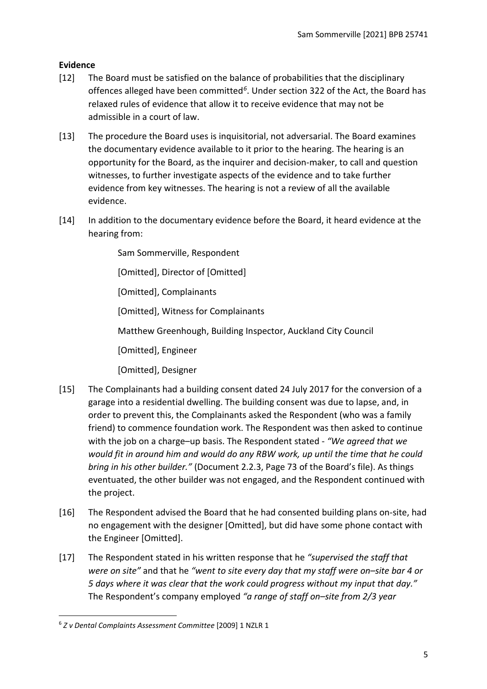# <span id="page-4-0"></span>**Evidence**

- [12] The Board must be satisfied on the balance of probabilities that the disciplinary offences alleged have been committed*[6](#page-4-1)*. Under section 322 of the Act, the Board has relaxed rules of evidence that allow it to receive evidence that may not be admissible in a court of law.
- [13] The procedure the Board uses is inquisitorial, not adversarial. The Board examines the documentary evidence available to it prior to the hearing. The hearing is an opportunity for the Board, as the inquirer and decision-maker, to call and question witnesses, to further investigate aspects of the evidence and to take further evidence from key witnesses. The hearing is not a review of all the available evidence.
- [14] In addition to the documentary evidence before the Board, it heard evidence at the hearing from:

Sam Sommerville, Respondent

[Omitted], Director of [Omitted]

[Omitted], Complainants

[Omitted], Witness for Complainants

Matthew Greenhough, Building Inspector, Auckland City Council

[Omitted], Engineer

[Omitted], Designer

- [15] The Complainants had a building consent dated 24 July 2017 for the conversion of a garage into a residential dwelling. The building consent was due to lapse, and, in order to prevent this, the Complainants asked the Respondent (who was a family friend) to commence foundation work. The Respondent was then asked to continue with the job on a charge–up basis. The Respondent stated - *"We agreed that we would fit in around him and would do any RBW work, up until the time that he could bring in his other builder."* (Document 2.2.3, Page 73 of the Board's file). As things eventuated, the other builder was not engaged, and the Respondent continued with the project.
- [16] The Respondent advised the Board that he had consented building plans on-site, had no engagement with the designer [Omitted], but did have some phone contact with the Engineer [Omitted].
- [17] The Respondent stated in his written response that he *"supervised the staff that were on site"* and that he *"went to site every day that my staff were on–site bar 4 or 5 days where it was clear that the work could progress without my input that day."* The Respondent's company employed *"a range of staff on–site from 2/3 year*

<span id="page-4-1"></span><sup>6</sup> *Z v Dental Complaints Assessment Committee* [2009] 1 NZLR 1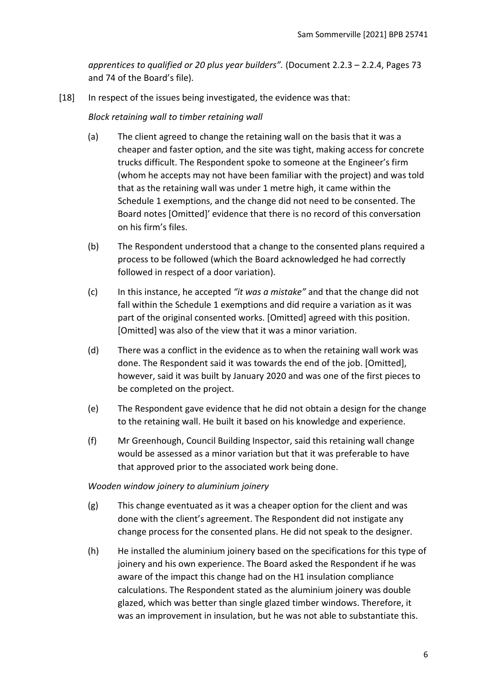*apprentices to qualified or 20 plus year builders".* (Document 2.2.3 – 2.2.4, Pages 73 and 74 of the Board's file).

[18] In respect of the issues being investigated, the evidence was that:

*Block retaining wall to timber retaining wall* 

- (a) The client agreed to change the retaining wall on the basis that it was a cheaper and faster option, and the site was tight, making access for concrete trucks difficult. The Respondent spoke to someone at the Engineer's firm (whom he accepts may not have been familiar with the project) and was told that as the retaining wall was under 1 metre high, it came within the Schedule 1 exemptions, and the change did not need to be consented. The Board notes [Omitted]' evidence that there is no record of this conversation on his firm's files.
- (b) The Respondent understood that a change to the consented plans required a process to be followed (which the Board acknowledged he had correctly followed in respect of a door variation).
- (c) In this instance, he accepted *"it was a mistake"* and that the change did not fall within the Schedule 1 exemptions and did require a variation as it was part of the original consented works. [Omitted] agreed with this position. [Omitted] was also of the view that it was a minor variation.
- (d) There was a conflict in the evidence as to when the retaining wall work was done. The Respondent said it was towards the end of the job. [Omitted], however, said it was built by January 2020 and was one of the first pieces to be completed on the project.
- (e) The Respondent gave evidence that he did not obtain a design for the change to the retaining wall. He built it based on his knowledge and experience.
- (f) Mr Greenhough, Council Building Inspector, said this retaining wall change would be assessed as a minor variation but that it was preferable to have that approved prior to the associated work being done.

# *Wooden window joinery to aluminium joinery*

- (g) This change eventuated as it was a cheaper option for the client and was done with the client's agreement. The Respondent did not instigate any change process for the consented plans. He did not speak to the designer.
- (h) He installed the aluminium joinery based on the specifications for this type of joinery and his own experience. The Board asked the Respondent if he was aware of the impact this change had on the H1 insulation compliance calculations. The Respondent stated as the aluminium joinery was double glazed, which was better than single glazed timber windows. Therefore, it was an improvement in insulation, but he was not able to substantiate this.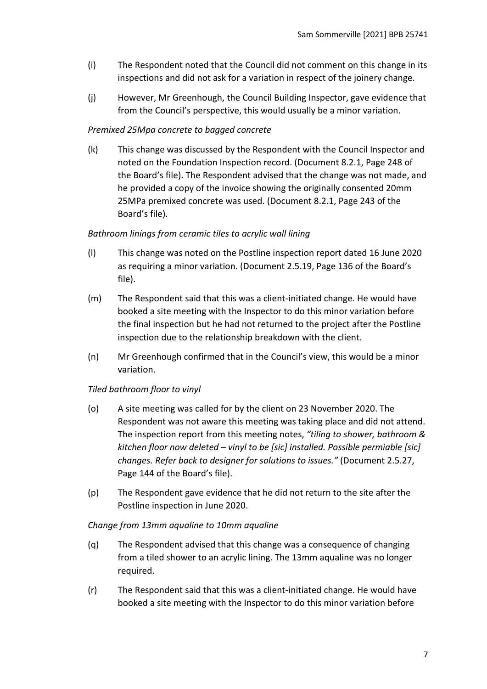- (i) The Respondent noted that the Council did not comment on this change in its inspections and did not ask for a variation in respect of the joinery change.
- (j) However, Mr Greenhough, the Council Building Inspector, gave evidence that from the Council's perspective, this would usually be a minor variation.

# *Premixed 25Mpa concrete to bagged concrete*

(k) This change was discussed by the Respondent with the Council Inspector and noted on the Foundation Inspection record. (Document 8.2.1, Page 248 of the Board's file). The Respondent advised that the change was not made, and he provided a copy of the invoice showing the originally consented 20mm 25MPa premixed concrete was used. (Document 8.2.1, Page 243 of the Board's file).

### *Bathroom linings from ceramic tiles to acrylic wall lining*

- (l) This change was noted on the Postline inspection report dated 16 June 2020 as requiring a minor variation. (Document 2.5.19, Page 136 of the Board's file).
- (m) The Respondent said that this was a client-initiated change. He would have booked a site meeting with the Inspector to do this minor variation before the final inspection but he had not returned to the project after the Postline inspection due to the relationship breakdown with the client.
- (n) Mr Greenhough confirmed that in the Council's view, this would be a minor variation.

# *Tiled bathroom floor to vinyl*

- (o) A site meeting was called for by the client on 23 November 2020. The Respondent was not aware this meeting was taking place and did not attend. The inspection report from this meeting notes, *"tiling to shower, bathroom & kitchen floor now deleted – vinyl to be [sic] installed. Possible permiable [sic] changes. Refer back to designer for solutions to issues."* (Document 2.5.27, Page 144 of the Board's file).
- (p) The Respondent gave evidence that he did not return to the site after the Postline inspection in June 2020.

#### *Change from 13mm aqualine to 10mm aqualine*

- (q) The Respondent advised that this change was a consequence of changing from a tiled shower to an acrylic lining. The 13mm aqualine was no longer required.
- (r) The Respondent said that this was a client-initiated change. He would have booked a site meeting with the Inspector to do this minor variation before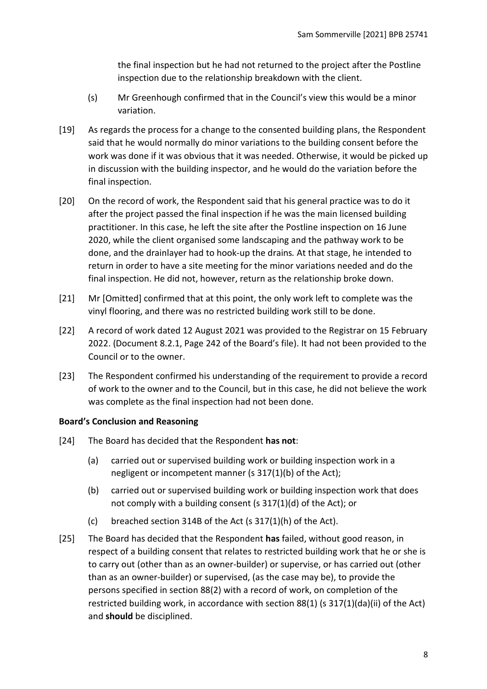the final inspection but he had not returned to the project after the Postline inspection due to the relationship breakdown with the client.

- (s) Mr Greenhough confirmed that in the Council's view this would be a minor variation.
- [19] As regards the process for a change to the consented building plans, the Respondent said that he would normally do minor variations to the building consent before the work was done if it was obvious that it was needed. Otherwise, it would be picked up in discussion with the building inspector, and he would do the variation before the final inspection.
- [20] On the record of work, the Respondent said that his general practice was to do it after the project passed the final inspection if he was the main licensed building practitioner. In this case, he left the site after the Postline inspection on 16 June 2020, while the client organised some landscaping and the pathway work to be done, and the drainlayer had to hook-up the drains*.* At that stage, he intended to return in order to have a site meeting for the minor variations needed and do the final inspection. He did not, however, return as the relationship broke down.
- [21] Mr [Omitted] confirmed that at this point, the only work left to complete was the vinyl flooring, and there was no restricted building work still to be done.
- [22] A record of work dated 12 August 2021 was provided to the Registrar on 15 February 2022. (Document 8.2.1, Page 242 of the Board's file). It had not been provided to the Council or to the owner.
- [23] The Respondent confirmed his understanding of the requirement to provide a record of work to the owner and to the Council, but in this case, he did not believe the work was complete as the final inspection had not been done.

# **Board's Conclusion and Reasoning**

- [24] The Board has decided that the Respondent **has not**:
	- (a) carried out or supervised building work or building inspection work in a negligent or incompetent manner (s 317(1)(b) of the Act);
	- (b) carried out or supervised building work or building inspection work that does not comply with a building consent (s 317(1)(d) of the Act); or
	- (c) breached section 314B of the Act (s 317(1)(h) of the Act).
- [25] The Board has decided that the Respondent **has** failed, without good reason, in respect of a building consent that relates to restricted building work that he or she is to carry out (other than as an owner-builder) or supervise, or has carried out (other than as an owner-builder) or supervised, (as the case may be), to provide the persons specified in section 88(2) with a record of work, on completion of the restricted building work, in accordance with section 88(1) (s 317(1)(da)(ii) of the Act) and **should** be disciplined.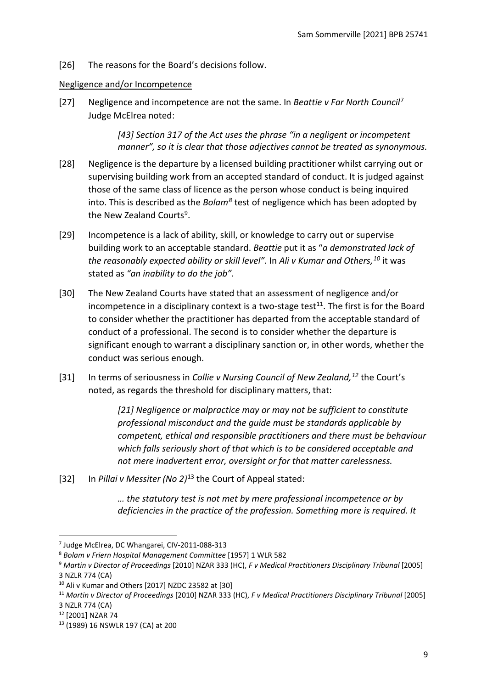[26] The reasons for the Board's decisions follow.

# <span id="page-8-0"></span>Negligence and/or Incompetence

[27] Negligence and incompetence are not the same. In *Beattie v Far North Council*[7](#page-8-1) Judge McElrea noted:

> *[43] Section 317 of the Act uses the phrase "in a negligent or incompetent manner", so it is clear that those adjectives cannot be treated as synonymous.*

- [28] Negligence is the departure by a licensed building practitioner whilst carrying out or supervising building work from an accepted standard of conduct. It is judged against those of the same class of licence as the person whose conduct is being inquired into. This is described as the *Bolam[8](#page-8-2)* test of negligence which has been adopted by the New Zealand Courts<sup>9</sup>.
- [29] Incompetence is a lack of ability, skill, or knowledge to carry out or supervise building work to an acceptable standard. *Beattie* put it as "*a demonstrated lack of the reasonably expected ability or skill level".* In *Ali v Kumar and Others, [10](#page-8-4)* it was stated as *"an inability to do the job"*.
- [30] The New Zealand Courts have stated that an assessment of negligence and/or incompetence in a disciplinary context is a two-stage test<sup>[11](#page-8-5)</sup>. The first is for the Board to consider whether the practitioner has departed from the acceptable standard of conduct of a professional. The second is to consider whether the departure is significant enough to warrant a disciplinary sanction or, in other words, whether the conduct was serious enough.
- [31] In terms of seriousness in *Collie v Nursing Council of New Zealand, [12](#page-8-6)* the Court's noted, as regards the threshold for disciplinary matters, that:

*[21] Negligence or malpractice may or may not be sufficient to constitute professional misconduct and the guide must be standards applicable by competent, ethical and responsible practitioners and there must be behaviour which falls seriously short of that which is to be considered acceptable and not mere inadvertent error, oversight or for that matter carelessness.*

[32] In *Pillai v Messiter (No 2)*[13](#page-8-7) the Court of Appeal stated:

*… the statutory test is not met by mere professional incompetence or by deficiencies in the practice of the profession. Something more is required. It* 

<span id="page-8-1"></span><sup>7</sup> Judge McElrea, DC Whangarei, CIV-2011-088-313

<span id="page-8-2"></span><sup>8</sup> *Bolam v Friern Hospital Management Committee* [1957] 1 WLR 582

<span id="page-8-3"></span><sup>9</sup> *Martin v Director of Proceedings* [2010] NZAR 333 (HC), *F v Medical Practitioners Disciplinary Tribunal* [2005] 3 NZLR 774 (CA)

<span id="page-8-4"></span><sup>10</sup> Ali v Kumar and Others [2017] NZDC 23582 at [30]

<span id="page-8-5"></span><sup>11</sup> *Martin v Director of Proceedings* [2010] NZAR 333 (HC), *F v Medical Practitioners Disciplinary Tribunal* [2005] 3 NZLR 774 (CA)

<span id="page-8-6"></span><sup>12</sup> [2001] NZAR 74

<span id="page-8-7"></span><sup>13</sup> (1989) 16 NSWLR 197 (CA) at 200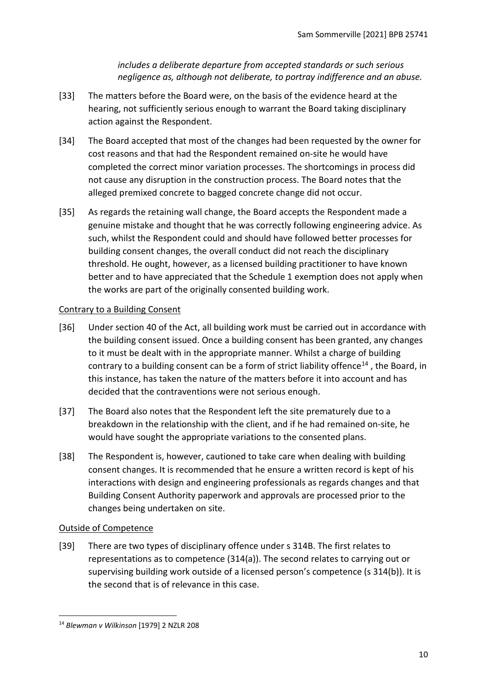*includes a deliberate departure from accepted standards or such serious negligence as, although not deliberate, to portray indifference and an abuse.*

- [33] The matters before the Board were, on the basis of the evidence heard at the hearing, not sufficiently serious enough to warrant the Board taking disciplinary action against the Respondent.
- [34] The Board accepted that most of the changes had been requested by the owner for cost reasons and that had the Respondent remained on-site he would have completed the correct minor variation processes. The shortcomings in process did not cause any disruption in the construction process. The Board notes that the alleged premixed concrete to bagged concrete change did not occur.
- [35] As regards the retaining wall change, the Board accepts the Respondent made a genuine mistake and thought that he was correctly following engineering advice. As such, whilst the Respondent could and should have followed better processes for building consent changes, the overall conduct did not reach the disciplinary threshold. He ought, however, as a licensed building practitioner to have known better and to have appreciated that the Schedule 1 exemption does not apply when the works are part of the originally consented building work.

# <span id="page-9-0"></span>Contrary to a Building Consent

- [36] Under section 40 of the Act, all building work must be carried out in accordance with the building consent issued. Once a building consent has been granted, any changes to it must be dealt with in the appropriate manner. Whilst a charge of building contrary to a building consent can be a form of strict liability offence<sup>[14](#page-9-2)</sup>, the Board, in this instance, has taken the nature of the matters before it into account and has decided that the contraventions were not serious enough.
- [37] The Board also notes that the Respondent left the site prematurely due to a breakdown in the relationship with the client, and if he had remained on-site, he would have sought the appropriate variations to the consented plans.
- [38] The Respondent is, however, cautioned to take care when dealing with building consent changes. It is recommended that he ensure a written record is kept of his interactions with design and engineering professionals as regards changes and that Building Consent Authority paperwork and approvals are processed prior to the changes being undertaken on site.

#### <span id="page-9-1"></span>Outside of Competence

[39] There are two types of disciplinary offence under s 314B. The first relates to representations as to competence (314(a)). The second relates to carrying out or supervising building work outside of a licensed person's competence (s 314(b)). It is the second that is of relevance in this case.

<span id="page-9-2"></span><sup>14</sup> *Blewman v Wilkinson* [\[1979\] 2 NZLR 208](http://www.lexisnexis.com/nz/legal/search/enhRunRemoteLink.do?A=0.2086159965275617&service=citation&langcountry=AU&backKey=20_T27461068952&linkInfo=F%23NZ%23NZLR%23vol%252%25sel1%251979%25page%25208%25year%251979%25sel2%252%25&ersKey=23_T27461068929)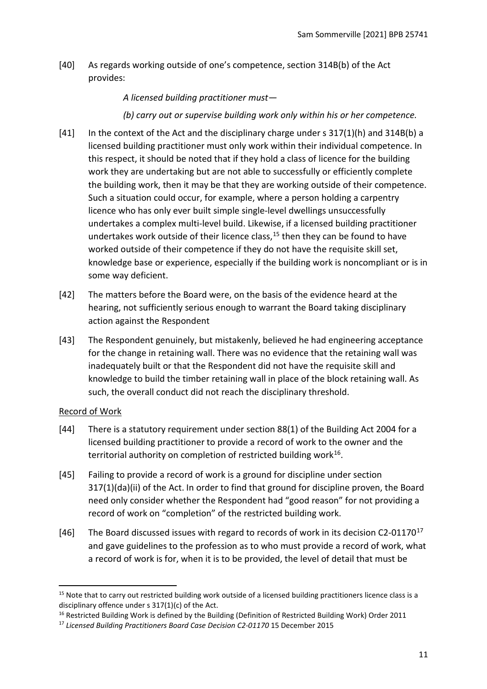[40] As regards working outside of one's competence, section 314B(b) of the Act provides:

*A licensed building practitioner must—* 

*(b) carry out or supervise building work only within his or her competence.*

- [41] In the context of the Act and the disciplinary charge under s 317(1)(h) and 314B(b) a licensed building practitioner must only work within their individual competence. In this respect, it should be noted that if they hold a class of licence for the building work they are undertaking but are not able to successfully or efficiently complete the building work, then it may be that they are working outside of their competence. Such a situation could occur, for example, where a person holding a carpentry licence who has only ever built simple single-level dwellings unsuccessfully undertakes a complex multi-level build. Likewise, if a licensed building practitioner undertakes work outside of their licence class, [15](#page-10-1) then they can be found to have worked outside of their competence if they do not have the requisite skill set, knowledge base or experience, especially if the building work is noncompliant or is in some way deficient.
- [42] The matters before the Board were, on the basis of the evidence heard at the hearing, not sufficiently serious enough to warrant the Board taking disciplinary action against the Respondent
- [43] The Respondent genuinely, but mistakenly, believed he had engineering acceptance for the change in retaining wall. There was no evidence that the retaining wall was inadequately built or that the Respondent did not have the requisite skill and knowledge to build the timber retaining wall in place of the block retaining wall. As such, the overall conduct did not reach the disciplinary threshold.

# <span id="page-10-0"></span>Record of Work

- [44] There is a statutory requirement under section 88(1) of the Building Act 2004 for a licensed building practitioner to provide a record of work to the owner and the territorial authority on completion of restricted building work $16$ .
- [45] Failing to provide a record of work is a ground for discipline under section 317(1)(da)(ii) of the Act. In order to find that ground for discipline proven, the Board need only consider whether the Respondent had "good reason" for not providing a record of work on "completion" of the restricted building work.
- [46] The Board discussed issues with regard to records of work in its decision C2-01[17](#page-10-3)0<sup>17</sup> and gave guidelines to the profession as to who must provide a record of work, what a record of work is for, when it is to be provided, the level of detail that must be

<span id="page-10-1"></span><sup>&</sup>lt;sup>15</sup> Note that to carry out restricted building work outside of a licensed building practitioners licence class is a disciplinary offence under s 317(1)(c) of the Act.

<span id="page-10-2"></span><sup>&</sup>lt;sup>16</sup> Restricted Building Work is defined by the Building (Definition of Restricted Building Work) Order 2011

<span id="page-10-3"></span><sup>17</sup> *Licensed Building Practitioners Board Case Decision C2-01170* 15 December 2015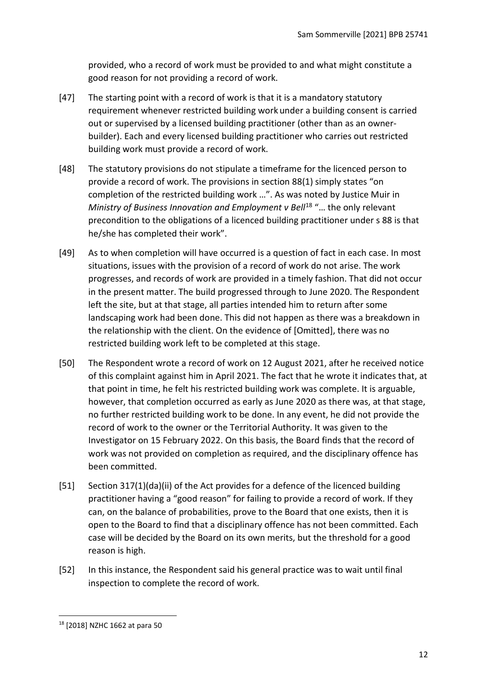provided, who a record of work must be provided to and what might constitute a good reason for not providing a record of work.

- [47] The starting point with a record of work is that it is a mandatory statutory requirement whenever restricted building work under a building consent is carried out or supervised by a licensed building practitioner (other than as an ownerbuilder). Each and every licensed building practitioner who carries out restricted building work must provide a record of work.
- [48] The statutory provisions do not stipulate a timeframe for the licenced person to provide a record of work. The provisions in section 88(1) simply states "on completion of the restricted building work …". As was noted by Justice Muir in *Ministry of Business Innovation and Employment v Bell<sup>[18](#page-11-0)</sup> "... the only relevant* precondition to the obligations of a licenced building practitioner under s 88 is that he/she has completed their work".
- [49] As to when completion will have occurred is a question of fact in each case. In most situations, issues with the provision of a record of work do not arise. The work progresses, and records of work are provided in a timely fashion. That did not occur in the present matter. The build progressed through to June 2020. The Respondent left the site, but at that stage, all parties intended him to return after some landscaping work had been done. This did not happen as there was a breakdown in the relationship with the client. On the evidence of [Omitted], there was no restricted building work left to be completed at this stage.
- [50] The Respondent wrote a record of work on 12 August 2021, after he received notice of this complaint against him in April 2021. The fact that he wrote it indicates that, at that point in time, he felt his restricted building work was complete. It is arguable, however, that completion occurred as early as June 2020 as there was, at that stage, no further restricted building work to be done. In any event, he did not provide the record of work to the owner or the Territorial Authority. It was given to the Investigator on 15 February 2022. On this basis, the Board finds that the record of work was not provided on completion as required, and the disciplinary offence has been committed.
- [51] Section 317(1)(da)(ii) of the Act provides for a defence of the licenced building practitioner having a "good reason" for failing to provide a record of work. If they can, on the balance of probabilities, prove to the Board that one exists, then it is open to the Board to find that a disciplinary offence has not been committed. Each case will be decided by the Board on its own merits, but the threshold for a good reason is high.
- [52] In this instance, the Respondent said his general practice was to wait until final inspection to complete the record of work.

<span id="page-11-0"></span><sup>18</sup> [2018] NZHC 1662 at para 50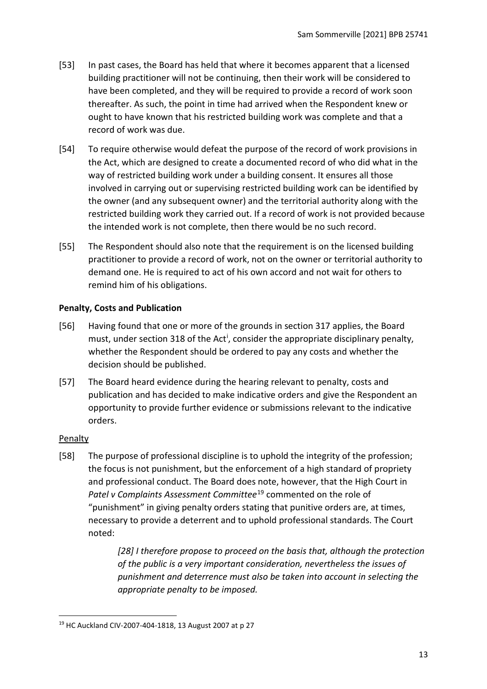- [53] In past cases, the Board has held that where it becomes apparent that a licensed building practitioner will not be continuing, then their work will be considered to have been completed, and they will be required to provide a record of work soon thereafter. As such, the point in time had arrived when the Respondent knew or ought to have known that his restricted building work was complete and that a record of work was due.
- [54] To require otherwise would defeat the purpose of the record of work provisions in the Act, which are designed to create a documented record of who did what in the way of restricted building work under a building consent. It ensures all those involved in carrying out or supervising restricted building work can be identified by the owner (and any subsequent owner) and the territorial authority along with the restricted building work they carried out. If a record of work is not provided because the intended work is not complete, then there would be no such record.
- [55] The Respondent should also note that the requirement is on the licensed building practitioner to provide a record of work, not on the owner or territorial authority to demand one. He is required to act of his own accord and not wait for others to remind him of his obligations.

# <span id="page-12-0"></span>**Penalty, Costs and Publication**

- [56] Having found that one or more of the grounds in section 317 applies, the Board must, under sect[i](#page-15-2)on 318 of the Act<sup>i</sup>, consider the appropriate disciplinary penalty, whether the Respondent should be ordered to pay any costs and whether the decision should be published.
- [57] The Board heard evidence during the hearing relevant to penalty, costs and publication and has decided to make indicative orders and give the Respondent an opportunity to provide further evidence or submissions relevant to the indicative orders.

# <span id="page-12-1"></span>**Penalty**

[58] The purpose of professional discipline is to uphold the integrity of the profession; the focus is not punishment, but the enforcement of a high standard of propriety and professional conduct. The Board does note, however, that the High Court in Patel v Complaints Assessment Committee<sup>[19](#page-12-2)</sup> commented on the role of "punishment" in giving penalty orders stating that punitive orders are, at times, necessary to provide a deterrent and to uphold professional standards. The Court noted:

> *[28] I therefore propose to proceed on the basis that, although the protection of the public is a very important consideration, nevertheless the issues of punishment and deterrence must also be taken into account in selecting the appropriate penalty to be imposed.*

<span id="page-12-2"></span><sup>19</sup> HC Auckland CIV-2007-404-1818, 13 August 2007 at p 27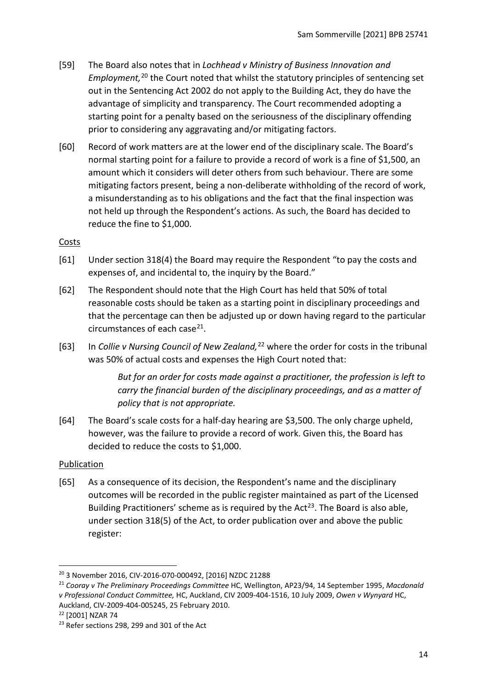- [59] The Board also notes that in *Lochhead v Ministry of Business Innovation and Employment,* [20](#page-13-2) the Court noted that whilst the statutory principles of sentencing set out in the Sentencing Act 2002 do not apply to the Building Act, they do have the advantage of simplicity and transparency. The Court recommended adopting a starting point for a penalty based on the seriousness of the disciplinary offending prior to considering any aggravating and/or mitigating factors.
- [60] Record of work matters are at the lower end of the disciplinary scale. The Board's normal starting point for a failure to provide a record of work is a fine of \$1,500, an amount which it considers will deter others from such behaviour. There are some mitigating factors present, being a non-deliberate withholding of the record of work, a misunderstanding as to his obligations and the fact that the final inspection was not held up through the Respondent's actions. As such, the Board has decided to reduce the fine to \$1,000.

### <span id="page-13-0"></span>**Costs**

- [61] Under section 318(4) the Board may require the Respondent "to pay the costs and expenses of, and incidental to, the inquiry by the Board."
- [62] The Respondent should note that the High Court has held that 50% of total reasonable costs should be taken as a starting point in disciplinary proceedings and that the percentage can then be adjusted up or down having regard to the particular circumstances of each case $^{21}$ .
- [63] In *Collie v Nursing Council of New Zealand,* [22](#page-13-4) where the order for costs in the tribunal was 50% of actual costs and expenses the High Court noted that:

*But for an order for costs made against a practitioner, the profession is left to carry the financial burden of the disciplinary proceedings, and as a matter of policy that is not appropriate.*

[64] The Board's scale costs for a half-day hearing are \$3,500. The only charge upheld, however, was the failure to provide a record of work. Given this, the Board has decided to reduce the costs to \$1,000.

# <span id="page-13-1"></span>Publication

[65] As a consequence of its decision, the Respondent's name and the disciplinary outcomes will be recorded in the public register maintained as part of the Licensed Building Practitioners' scheme as is required by the Act<sup>[23](#page-13-5)</sup>. The Board is also able, under section 318(5) of the Act, to order publication over and above the public register:

<span id="page-13-3"></span><sup>21</sup> *Cooray v The Preliminary Proceedings Committee* HC, Wellington, AP23/94, 14 September 1995, *Macdonald v Professional Conduct Committee,* HC, Auckland, CIV 2009-404-1516, 10 July 2009, *Owen v Wynyard* HC, Auckland, CIV-2009-404-005245, 25 February 2010.<br><sup>22</sup> [2001] NZAR 74

<span id="page-13-2"></span><sup>20</sup> 3 November 2016, CIV-2016-070-000492, [2016] NZDC 21288

<span id="page-13-5"></span><span id="page-13-4"></span><sup>&</sup>lt;sup>23</sup> Refer sections 298, 299 and 301 of the Act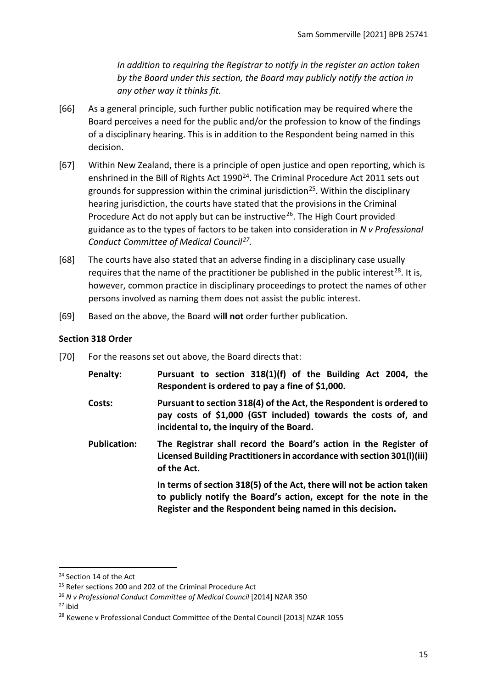*In addition to requiring the Registrar to notify in the register an action taken by the Board under this section, the Board may publicly notify the action in any other way it thinks fit.*

- [66] As a general principle, such further public notification may be required where the Board perceives a need for the public and/or the profession to know of the findings of a disciplinary hearing. This is in addition to the Respondent being named in this decision.
- [67] Within New Zealand, there is a principle of open justice and open reporting, which is enshrined in the Bill of Rights Act 1990<sup>24</sup>. The Criminal Procedure Act 2011 sets out grounds for suppression within the criminal jurisdiction<sup>25</sup>. Within the disciplinary hearing jurisdiction, the courts have stated that the provisions in the Criminal Procedure Act do not apply but can be instructive<sup>[26](#page-14-3)</sup>. The High Court provided guidance as to the types of factors to be taken into consideration in *N v Professional Conduct Committee of Medical Council[27](#page-14-4).*
- [68] The courts have also stated that an adverse finding in a disciplinary case usually requires that the name of the practitioner be published in the public interest<sup>[28](#page-14-5)</sup>. It is, however, common practice in disciplinary proceedings to protect the names of other persons involved as naming them does not assist the public interest.
- [69] Based on the above, the Board w**ill not** order further publication.

### <span id="page-14-0"></span>**Section 318 Order**

[70] For the reasons set out above, the Board directs that:

| Penalty:            | Pursuant to section 318(1)(f) of the Building Act 2004, the<br>Respondent is ordered to pay a fine of \$1,000.                                                                                          |
|---------------------|---------------------------------------------------------------------------------------------------------------------------------------------------------------------------------------------------------|
| Costs:              | Pursuant to section 318(4) of the Act, the Respondent is ordered to<br>pay costs of \$1,000 (GST included) towards the costs of, and<br>incidental to, the inquiry of the Board.                        |
| <b>Publication:</b> | The Registrar shall record the Board's action in the Register of<br>Licensed Building Practitioners in accordance with section 301(I)(iii)<br>of the Act.                                               |
|                     | In terms of section 318(5) of the Act, there will not be action taken<br>to publicly notify the Board's action, except for the note in the<br>Register and the Respondent being named in this decision. |

<span id="page-14-4"></span> $27$  ibid

<span id="page-14-1"></span><sup>&</sup>lt;sup>24</sup> Section 14 of the Act

<span id="page-14-2"></span><sup>&</sup>lt;sup>25</sup> Refer sections 200 and 202 of the Criminal Procedure Act

<span id="page-14-3"></span><sup>26</sup> *N v Professional Conduct Committee of Medical Council* [2014] NZAR 350

<span id="page-14-5"></span><sup>&</sup>lt;sup>28</sup> Kewene v Professional Conduct Committee of the Dental Council [2013] NZAR 1055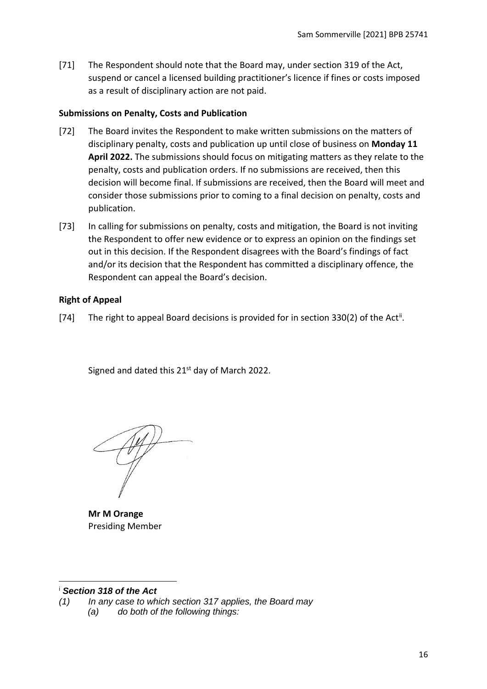[71] The Respondent should note that the Board may, under section 319 of the Act, suspend or cancel a licensed building practitioner's licence if fines or costs imposed as a result of disciplinary action are not paid.

#### <span id="page-15-0"></span>**Submissions on Penalty, Costs and Publication**

- [72] The Board invites the Respondent to make written submissions on the matters of disciplinary penalty, costs and publication up until close of business on **Monday 11 April 2022.** The submissions should focus on mitigating matters as they relate to the penalty, costs and publication orders. If no submissions are received, then this decision will become final. If submissions are received, then the Board will meet and consider those submissions prior to coming to a final decision on penalty, costs and publication.
- [73] In calling for submissions on penalty, costs and mitigation, the Board is not inviting the Respondent to offer new evidence or to express an opinion on the findings set out in this decision. If the Respondent disagrees with the Board's findings of fact and/or its decision that the Respondent has committed a disciplinary offence, the Respondent can appeal the Board's decision.

### <span id="page-15-1"></span>**Right of Appeal**

[74] The right to appeal Board decisions is provided for in section 330(2) of the Act<sup>[ii](#page-16-0)</sup>.

Signed and dated this  $21<sup>st</sup>$  day of March 2022.

**Mr M Orange** Presiding Member

#### <span id="page-15-2"></span><sup>i</sup> *Section 318 of the Act*

*(1) In any case to which section 317 applies, the Board may (a) do both of the following things:*